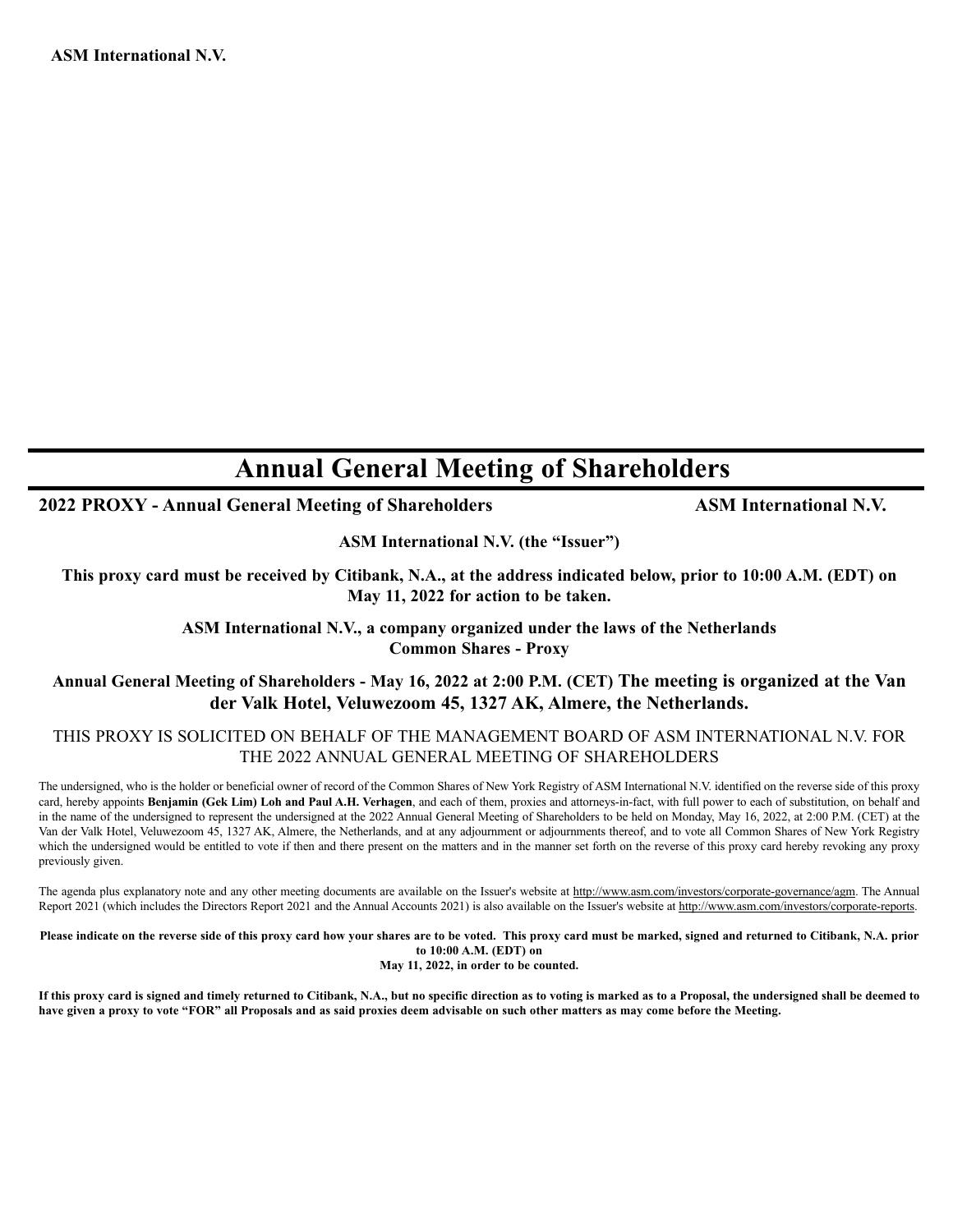# **Annual General Meeting of Shareholders**

### **2022 PROXY - Annual General Meeting of Shareholders ASM International N.V.**

**ASM International N.V. (the "Issuer")**

**This proxy card must be received by Citibank, N.A., at the address indicated below, prior to 10:00 A.M. (EDT) on May 11, 2022 for action to be taken.**

#### **ASM International N.V., a company organized under the laws of the Netherlands Common Shares - Proxy**

#### **Annual General Meeting of Shareholders - May 16, 2022 at 2:00 P.M. (CET) The meeting is organized at the Van der Valk Hotel, Veluwezoom 45, 1327 AK, Almere, the Netherlands.**

#### THIS PROXY IS SOLICITED ON BEHALF OF THE MANAGEMENT BOARD OF ASM INTERNATIONAL N.V. FOR THE 2022 ANNUAL GENERAL MEETING OF SHAREHOLDERS

The undersigned, who is the holder or beneficial owner of record of the Common Shares of New York Registry of ASM International N.V. identified on the reverse side of this proxy card, hereby appoints **Benjamin (Gek Lim) Loh and Paul A.H. Verhagen**, and each of them, proxies and attorneys-in-fact, with full power to each of substitution, on behalf and in the name of the undersigned to represent the undersigned at the 2022 Annual General Meeting of Shareholders to be held on Monday, May 16, 2022, at 2:00 P.M. (CET) at the Van der Valk Hotel, Veluwezoom 45, 1327 AK, Almere, the Netherlands, and at any adjournment or adjournments thereof, and to vote all Common Shares of New York Registry which the undersigned would be entitled to vote if then and there present on the matters and in the manner set forth on the reverse of this proxy card hereby revoking any proxy previously given.

The agenda plus explanatory note and any other meeting documents are available on the Issuer's website at http://www.asm.com/investors/corporate-governance/agm. The Annual Report 2021 (which includes the Directors Report 2021 and the Annual Accounts 2021) is also available on the Issuer's website at http://www.asm.com/investors/corporate-reports.

**Please indicate on the reverse side of this proxy card how your shares are to be voted. This proxy card must be marked, signed and returned to Citibank, N.A. prior to 10:00 A.M. (EDT) on**

**May 11, 2022, in order to be counted.**

**If this proxy card is signed and timely returned to Citibank, N.A., but no specific direction as to voting is marked as to a Proposal, the undersigned shall be deemed to have given a proxy to vote "FOR" all Proposals and as said proxies deem advisable on such other matters as may come before the Meeting.**